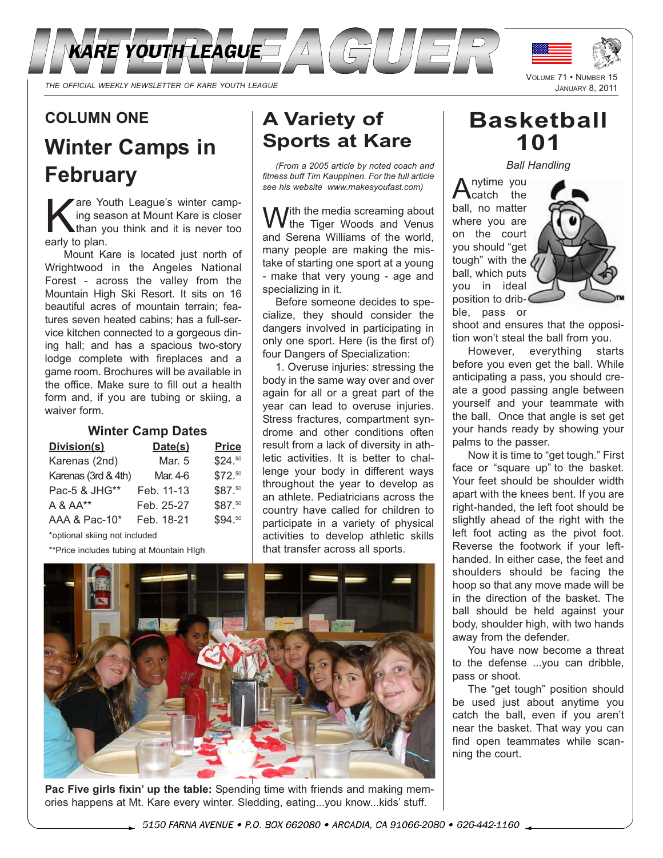

## **COLUMN ONE**

# **Winter Camps in February**

Kare Youth League's winter camp-<br>ing season at Mount Kare is closer<br>than you think and it is never too ing season at Mount Kare is closer than you think and it is never too early to plan.

Mount Kare is located just north of Wrightwood in the Angeles National Forest - across the valley from the Mountain High Ski Resort. It sits on 16 beautiful acres of mountain terrain; features seven heated cabins; has a full-service kitchen connected to a gorgeous dining hall; and has a spacious two-story lodge complete with fireplaces and a game room. Brochures will be available in the office. Make sure to fill out a health form and, if you are tubing or skiing, a waiver form.

#### **Winter Camp Dates**

| Division(s)         | Date(s)    | <b>Price</b> |
|---------------------|------------|--------------|
| Karenas (2nd)       | Mar. 5     | \$24.50      |
| Karenas (3rd & 4th) | Mar. 4-6   | \$72.50      |
| Pac-5 & JHG**       | Feb. 11-13 | \$87.50      |
| A & AA**            | Feb. 25-27 | \$87.50      |
| AAA & Pac-10*       | Feb. 18-21 | \$94.50      |

\*optional skiing not included

\*\*Price includes tubing at Mountain HIgh

# **A Variety of Sports at Kare**

*(From a 2005 article by noted coach and fitness buff Tim Kauppinen. For the full article see his website www.makesyoufast.com)*

 $\int$ ith the media screaming about the Tiger Woods and Venus and Serena Williams of the world, many people are making the mistake of starting one sport at a young - make that very young - age and specializing in it.

Before someone decides to specialize, they should consider the dangers involved in participating in only one sport. Here (is the first of) four Dangers of Specialization:

1. Overuse injuries: stressing the body in the same way over and over again for all or a great part of the year can lead to overuse injuries. Stress fractures, compartment syndrome and other conditions often result from a lack of diversity in athletic activities. It is better to challenge your body in different ways throughout the year to develop as an athlete. Pediatricians across the country have called for children to participate in a variety of physical activities to develop athletic skills that transfer across all sports.



**Pac Five girls fixin' up the table:** Spending time with friends and making memories happens at Mt. Kare every winter. Sledding, eating...you know...kids' stuff.

# **Basketball 101**

*Ball Handling*

nytime you catch the ball, no matter where you are on the court you should "get tough" with the ball, which puts you in ideal position to dribble, pass or



shoot and ensures that the opposition won't steal the ball from you.

However, everything starts before you even get the ball. While anticipating a pass, you should create a good passing angle between yourself and your teammate with the ball. Once that angle is set get your hands ready by showing your palms to the passer.

Now it is time to "get tough." First face or "square up" to the basket. Your feet should be shoulder width apart with the knees bent. If you are right-handed, the left foot should be slightly ahead of the right with the left foot acting as the pivot foot. Reverse the footwork if your lefthanded. In either case, the feet and shoulders should be facing the hoop so that any move made will be in the direction of the basket. The ball should be held against your body, shoulder high, with two hands away from the defender.

You have now become a threat to the defense ...you can dribble, pass or shoot.

The "get tough" position should be used just about anytime you catch the ball, even if you aren't near the basket. That way you can find open teammates while scanning the court.